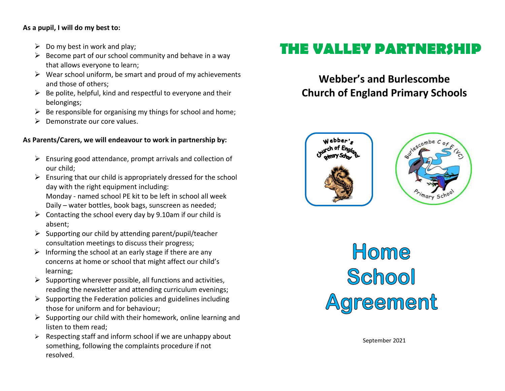#### **As a pupil, I will do my best to:**

- $\triangleright$  Do my best in work and play;
- $\triangleright$  Become part of our school community and behave in a way that allows everyone to learn;
- $\triangleright$  Wear school uniform, be smart and proud of my achievements and those of others;
- $\triangleright$  Be polite, helpful, kind and respectful to everyone and their belongings;
- $\triangleright$  Be responsible for organising my things for school and home;
- $\triangleright$  Demonstrate our core values.

### **As Parents/Carers, we will endeavour to work in partnership by:**

- $\triangleright$  Ensuring good attendance, prompt arrivals and collection of our child;
- $\triangleright$  Ensuring that our child is appropriately dressed for the school day with the right equipment including: Monday - named school PE kit to be left in school all week Daily – water bottles, book bags, sunscreen as needed;
- $\triangleright$  Contacting the school every day by 9.10am if our child is absent;
- $\triangleright$  Supporting our child by attending parent/pupil/teacher consultation meetings to discuss their progress;
- $\triangleright$  Informing the school at an early stage if there are any concerns at home or school that might affect our child's learning;
- $\triangleright$  Supporting wherever possible, all functions and activities, reading the newsletter and attending curriculum evenings;
- $\triangleright$  Supporting the Federation policies and guidelines including those for uniform and for behaviour;
- $\triangleright$  Supporting our child with their homework, online learning and listen to them read;
- $\triangleright$  Respecting staff and inform school if we are unhappy about something, following the complaints procedure if not resolved.

# **THE VALLEY PARTNERSHIP**

## **Webber's and Burlescombe Church of England Primary Schools**



Home School Agreement

September 2021